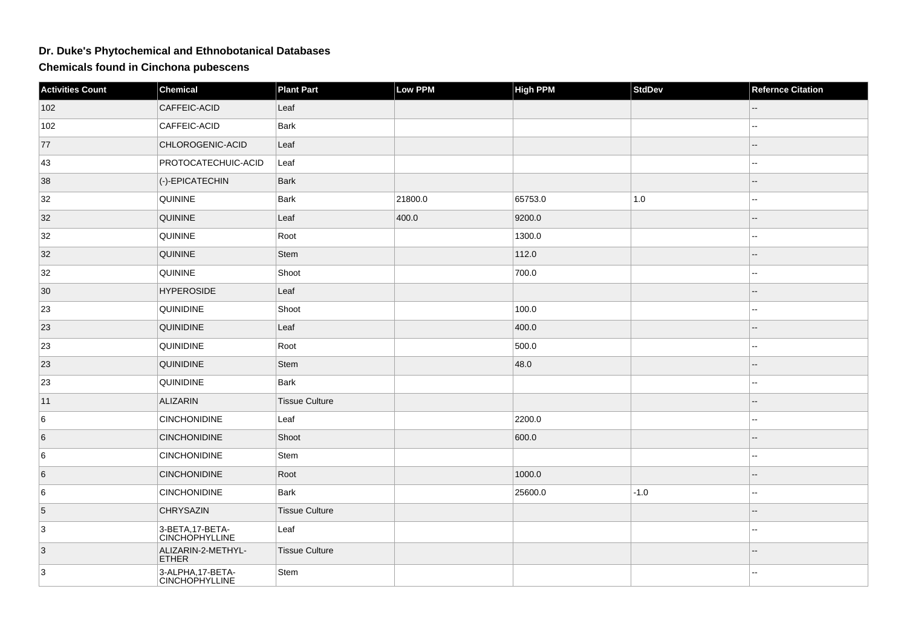## **Dr. Duke's Phytochemical and Ethnobotanical Databases**

**Chemicals found in Cinchona pubescens**

| <b>Activities Count</b> | <b>Chemical</b>                            | <b>Plant Part</b>     | <b>Low PPM</b> | <b>High PPM</b> | <b>StdDev</b> | <b>Refernce Citation</b> |
|-------------------------|--------------------------------------------|-----------------------|----------------|-----------------|---------------|--------------------------|
| 102                     | CAFFEIC-ACID                               | Leaf                  |                |                 |               |                          |
| 102                     | CAFFEIC-ACID                               | Bark                  |                |                 |               | $\overline{\phantom{a}}$ |
| 77                      | CHLOROGENIC-ACID                           | Leaf                  |                |                 |               | $\Rightarrow$            |
| 43                      | PROTOCATECHUIC-ACID                        | Leaf                  |                |                 |               | --                       |
| 38                      | (-)-EPICATECHIN                            | Bark                  |                |                 |               |                          |
| 32                      | <b>QUININE</b>                             | Bark                  | 21800.0        | 65753.0         | $1.0\,$       | ۵.                       |
| 32                      | <b>QUININE</b>                             | Leaf                  | 400.0          | 9200.0          |               |                          |
| 32                      | <b>QUININE</b>                             | Root                  |                | 1300.0          |               | ۵.                       |
| 32                      | <b>QUININE</b>                             | Stem                  |                | 112.0           |               |                          |
| 32                      | <b>QUININE</b>                             | Shoot                 |                | 700.0           |               |                          |
| 30                      | <b>HYPEROSIDE</b>                          | Leaf                  |                |                 |               |                          |
| 23                      | <b>QUINIDINE</b>                           | Shoot                 |                | 100.0           |               | --                       |
| 23                      | <b>QUINIDINE</b>                           | Leaf                  |                | 400.0           |               |                          |
| 23                      | <b>QUINIDINE</b>                           | Root                  |                | 500.0           |               |                          |
| 23                      | <b>QUINIDINE</b>                           | Stem                  |                | 48.0            |               |                          |
| 23                      | <b>QUINIDINE</b>                           | Bark                  |                |                 |               |                          |
| 11                      | ALIZARIN                                   | Tissue Culture        |                |                 |               |                          |
| 6                       | <b>CINCHONIDINE</b>                        | Leaf                  |                | 2200.0          |               | --                       |
| 6                       | <b>CINCHONIDINE</b>                        | Shoot                 |                | 600.0           |               | $- -$                    |
| 6                       | <b>CINCHONIDINE</b>                        | Stem                  |                |                 |               |                          |
| 6                       | <b>CINCHONIDINE</b>                        | Root                  |                | 1000.0          |               |                          |
| 6                       | <b>CINCHONIDINE</b>                        | <b>Bark</b>           |                | 25600.0         | $-1.0$        | --                       |
| 5                       | <b>CHRYSAZIN</b>                           | <b>Tissue Culture</b> |                |                 |               | --                       |
| $\overline{3}$          | 3-BETA, 17-BETA-<br><b>CINCHOPHYLLINE</b>  | Leaf                  |                |                 |               | $\overline{a}$           |
| $ 3\rangle$             | ALIZARIN-2-METHYL-<br><b>ETHER</b>         | <b>Tissue Culture</b> |                |                 |               |                          |
| 3                       | 3-ALPHA, 17-BETA-<br><b>CINCHOPHYLLINE</b> | Stem                  |                |                 |               | 44                       |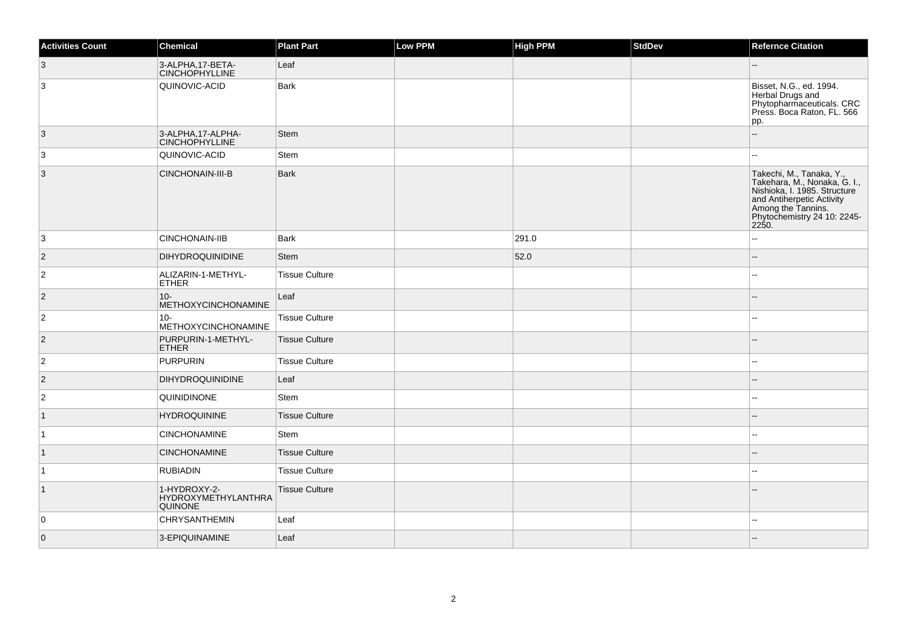| <b>Activities Count</b> | <b>Chemical</b>                                       | <b>Plant Part</b>     | Low PPM | <b>High PPM</b> | <b>StdDev</b> | <b>Refernce Citation</b>                                                                                                                                                            |
|-------------------------|-------------------------------------------------------|-----------------------|---------|-----------------|---------------|-------------------------------------------------------------------------------------------------------------------------------------------------------------------------------------|
| $\vert 3 \vert$         | 3-ALPHA, 17-BETA-<br><b>CINCHOPHYLLINE</b>            | Leaf                  |         |                 |               | $-$                                                                                                                                                                                 |
| 3                       | QUINOVIC-ACID                                         | <b>Bark</b>           |         |                 |               | Bisset, N.G., ed. 1994.<br>Herbal Drugs and<br>Phytopharmaceuticals. CRC<br>Press. Boca Raton, FL. 566<br>pp.                                                                       |
| 3                       | 3-ALPHA, 17-ALPHA-<br><b>CINCHOPHYLLINE</b>           | <b>Stem</b>           |         |                 |               | L.                                                                                                                                                                                  |
| 3                       | QUINOVIC-ACID                                         | Stem                  |         |                 |               | $\sim$                                                                                                                                                                              |
| $\overline{3}$          | CINCHONAIN-III-B                                      | Bark                  |         |                 |               | Takechi, M., Tanaka, Y.,<br>Takehara, M., Nonaka, G. I.,<br>Nishioka, I. 1985. Structure<br>and Antiherpetic Activity<br>Among the Tannins.<br>Phytochemistry 24 10: 2245-<br>2250. |
| 3                       | <b>CINCHONAIN-IIB</b>                                 | Bark                  |         | 291.0           |               |                                                                                                                                                                                     |
| $\vert$ 2               | DIHYDROQUINIDINE                                      | Stem                  |         | 52.0            |               | Ξ.                                                                                                                                                                                  |
| $\overline{2}$          | ALIZARIN-1-METHYL-<br><b>ETHER</b>                    | <b>Tissue Culture</b> |         |                 |               |                                                                                                                                                                                     |
| $\overline{2}$          | $10 -$<br>METHOXYCINCHONAMINE                         | Leaf                  |         |                 |               |                                                                                                                                                                                     |
| $\overline{2}$          | $10 -$<br>METHOXYCINCHONAMINE                         | <b>Tissue Culture</b> |         |                 |               |                                                                                                                                                                                     |
| $\overline{2}$          | PURPURIN-1-METHYL-<br><b>ETHER</b>                    | <b>Tissue Culture</b> |         |                 |               |                                                                                                                                                                                     |
| $\vert$ 2               | PURPURIN                                              | <b>Tissue Culture</b> |         |                 |               |                                                                                                                                                                                     |
| $\vert$ 2               | <b>DIHYDROQUINIDINE</b>                               | Leaf                  |         |                 |               |                                                                                                                                                                                     |
| $\vert$ 2               | QUINIDINONE                                           | Stem                  |         |                 |               |                                                                                                                                                                                     |
| $\vert$ 1               | <b>HYDROQUININE</b>                                   | <b>Tissue Culture</b> |         |                 |               |                                                                                                                                                                                     |
| $\vert$ 1               | <b>CINCHONAMINE</b>                                   | Stem                  |         |                 |               |                                                                                                                                                                                     |
| $\vert$ 1               | <b>CINCHONAMINE</b>                                   | <b>Tissue Culture</b> |         |                 |               |                                                                                                                                                                                     |
| $\overline{1}$          | <b>RUBIADIN</b>                                       | <b>Tissue Culture</b> |         |                 |               |                                                                                                                                                                                     |
| $\vert$ 1               | 1-HYDROXY-2-<br>HYDROXYMETHYLANTHRA<br><b>QUINONE</b> | <b>Tissue Culture</b> |         |                 |               |                                                                                                                                                                                     |
| $\overline{0}$          | <b>CHRYSANTHEMIN</b>                                  | Leaf                  |         |                 |               | $\sim$                                                                                                                                                                              |
| $\overline{0}$          | 3-EPIQUINAMINE                                        | Leaf                  |         |                 |               |                                                                                                                                                                                     |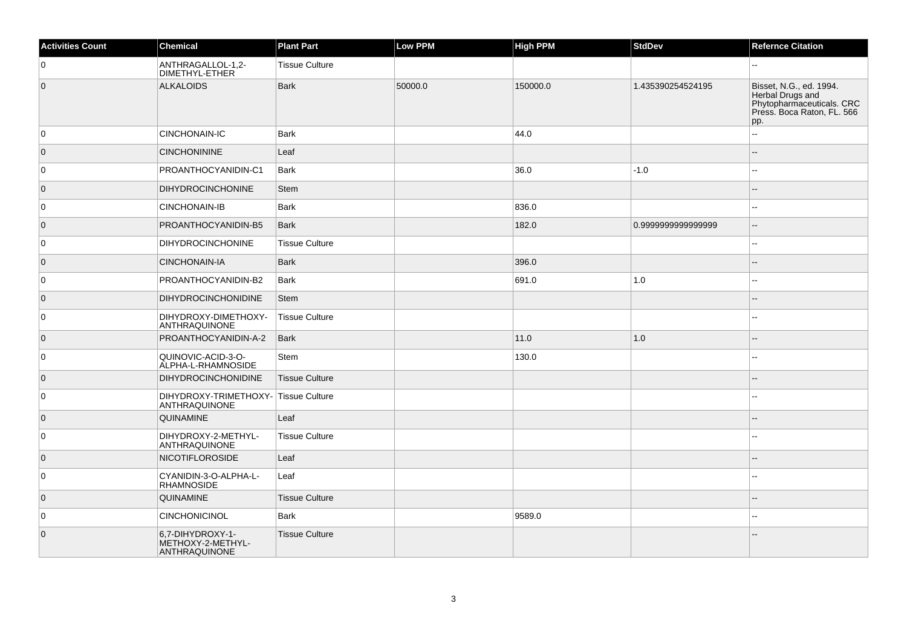| <b>Activities Count</b> | <b>Chemical</b>                                        | <b>Plant Part</b>     | Low PPM | <b>High PPM</b> | <b>StdDev</b>     | <b>Refernce Citation</b>                                                                                      |
|-------------------------|--------------------------------------------------------|-----------------------|---------|-----------------|-------------------|---------------------------------------------------------------------------------------------------------------|
| 0                       | ANTHRAGALLOL-1,2-<br>DIMETHYL-ETHER                    | <b>Tissue Culture</b> |         |                 |                   | $\overline{a}$                                                                                                |
| $\overline{0}$          | <b>ALKALOIDS</b>                                       | <b>Bark</b>           | 50000.0 | 150000.0        | 1.435390254524195 | Bisset, N.G., ed. 1994.<br>Herbal Drugs and<br>Phytopharmaceuticals. CRC<br>Press. Boca Raton, FL. 566<br>pp. |
| 0                       | <b>CINCHONAIN-IC</b>                                   | <b>Bark</b>           |         | 44.0            |                   | $\overline{a}$                                                                                                |
| $\overline{0}$          | <b>CINCHONININE</b>                                    | Leaf                  |         |                 |                   |                                                                                                               |
| $\overline{0}$          | PROANTHOCYANIDIN-C1                                    | Bark                  |         | 36.0            | $-1.0$            | $-$                                                                                                           |
| $\overline{0}$          | <b>DIHYDROCINCHONINE</b>                               | <b>Stem</b>           |         |                 |                   |                                                                                                               |
| $\overline{0}$          | <b>CINCHONAIN-IB</b>                                   | <b>Bark</b>           |         | 836.0           |                   | $\overline{\phantom{a}}$                                                                                      |
| $\overline{0}$          | PROANTHOCYANIDIN-B5                                    | Bark                  |         | 182.0           | 0.999999999999999 | $-$                                                                                                           |
| 0                       | <b>DIHYDROCINCHONINE</b>                               | <b>Tissue Culture</b> |         |                 |                   | $-$                                                                                                           |
| $\overline{0}$          | CINCHONAIN-IA                                          | <b>Bark</b>           |         | 396.0           |                   |                                                                                                               |
| 0                       | PROANTHOCYANIDIN-B2                                    | <b>Bark</b>           |         | 691.0           | 1.0               |                                                                                                               |
| $\overline{0}$          | <b>DIHYDROCINCHONIDINE</b>                             | <b>Stem</b>           |         |                 |                   |                                                                                                               |
| 0                       | DIHYDROXY-DIMETHOXY-<br>ANTHRAQUINONE                  | <b>Tissue Culture</b> |         |                 |                   | $-$                                                                                                           |
| $\overline{0}$          | PROANTHOCYANIDIN-A-2                                   | <b>Bark</b>           |         | 11.0            | $1.0$             |                                                                                                               |
| 0                       | QUINOVIC-ACID-3-O-<br>ALPHA-L-RHAMNOSIDE               | Stem                  |         | 130.0           |                   | $\overline{a}$                                                                                                |
| $\overline{0}$          | <b>DIHYDROCINCHONIDINE</b>                             | <b>Tissue Culture</b> |         |                 |                   |                                                                                                               |
| 0                       | DIHYDROXY-TRIMETHOXY-<br>ANTHRAQUINONE                 | Tissue Culture        |         |                 |                   |                                                                                                               |
| $\overline{0}$          | QUINAMINE                                              | Leaf                  |         |                 |                   |                                                                                                               |
| $\overline{0}$          | DIHYDROXY-2-METHYL-<br>ANTHRAQUINONE                   | <b>Tissue Culture</b> |         |                 |                   |                                                                                                               |
| $\overline{0}$          | <b>NICOTIFLOROSIDE</b>                                 | Leaf                  |         |                 |                   |                                                                                                               |
| $\overline{0}$          | CYANIDIN-3-O-ALPHA-L-<br><b>RHAMNOSIDE</b>             | Leaf                  |         |                 |                   |                                                                                                               |
| $\overline{0}$          | QUINAMINE                                              | <b>Tissue Culture</b> |         |                 |                   | ٠.                                                                                                            |
| $\overline{0}$          | <b>CINCHONICINOL</b>                                   | <b>Bark</b>           |         | 9589.0          |                   |                                                                                                               |
| $\overline{0}$          | 6,7-DIHYDROXY-1-<br>METHOXY-2-METHYL-<br>ANTHRAQUINONE | <b>Tissue Culture</b> |         |                 |                   |                                                                                                               |